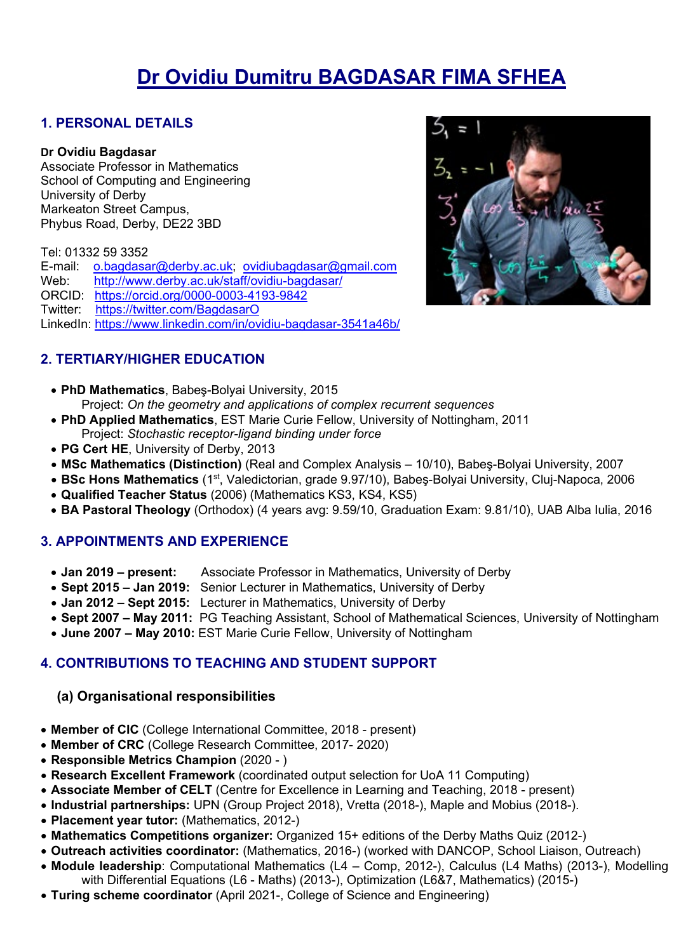# **Dr Ovidiu Dumitru BAGDASAR FIMA SFHEA**

## **1. PERSONAL DETAILS**

#### **Dr Ovidiu Bagdasar**

Associate Professor in Mathematics School of Computing and Engineering University of Derby Markeaton Street Campus, Phybus Road, Derby, DE22 3BD

Tel: 01332 59 3352

E-mail: [o.bagdasar@derby.ac.uk;](mailto:o.bagdasar@derby.ac.uk) [ovidiubagdasar@gmail.com](mailto:ovidiubagdasar@gmail.com) Web: <http://www.derby.ac.uk/staff/ovidiu-bagdasar/> ORCID: <https://orcid.org/0000-0003-4193-9842> Twitter: <https://twitter.com/BagdasarO> LinkedIn:<https://www.linkedin.com/in/ovidiu-bagdasar-3541a46b/>



- **PhD Mathematics**, Babeş-Bolyai University, 2015 Project: *On the geometry and applications of complex recurrent sequences*
- **PhD Applied Mathematics**, EST Marie Curie Fellow, University of Nottingham, 2011 Project: *Stochastic receptor-ligand binding under force*
- **PG Cert HE**, University of Derby, 2013
- **MSc Mathematics (Distinction)** (Real and Complex Analysis 10/10), Babeş-Bolyai University, 2007
- **BSc Hons Mathematics** (1st, Valedictorian, grade 9.97/10), Babeş-Bolyai University, Cluj-Napoca, 2006
- **Qualified Teacher Status** (2006) (Mathematics KS3, KS4, KS5)
- **BA Pastoral Theology** (Orthodox) (4 years avg: 9.59/10, Graduation Exam: 9.81/10), UAB Alba Iulia, 2016

#### **3. APPOINTMENTS AND EXPERIENCE**

- **Jan 2019 – present:** Associate Professor in Mathematics, University of Derby
- **Sept 2015 – Jan 2019:** Senior Lecturer in Mathematics, University of Derby
- **Jan 2012 – Sept 2015:** Lecturer in Mathematics, University of Derby
- **Sept 2007 – May 2011:** PG Teaching Assistant, School of Mathematical Sciences, University of Nottingham
- **June 2007 – May 2010:** EST Marie Curie Fellow, University of Nottingham

# **4. CONTRIBUTIONS TO TEACHING AND STUDENT SUPPORT**

#### **(a) Organisational responsibilities**

- **Member of CIC** (College International Committee, 2018 present)
- **Member of CRC** (College Research Committee, 2017- 2020)
- **Responsible Metrics Champion** (2020 )
- **Research Excellent Framework** (coordinated output selection for UoA 11 Computing)
- **Associate Member of CELT** (Centre for Excellence in Learning and Teaching, 2018 present)
- **Industrial partnerships:** UPN (Group Project 2018), Vretta (2018-), Maple and Mobius (2018-).
- **Placement year tutor:** (Mathematics, 2012-)
- **Mathematics Competitions organizer:** Organized 15+ editions of the Derby Maths Quiz (2012-)
- **Outreach activities coordinator:** (Mathematics, 2016-) (worked with DANCOP, School Liaison, Outreach)
- **Module leadership**: Computational Mathematics (L4 Comp, 2012-), Calculus (L4 Maths) (2013-), Modelling with Differential Equations (L6 - Maths) (2013-), Optimization (L6&7, Mathematics) (2015-)
- **Turing scheme coordinator** (April 2021-, College of Science and Engineering)

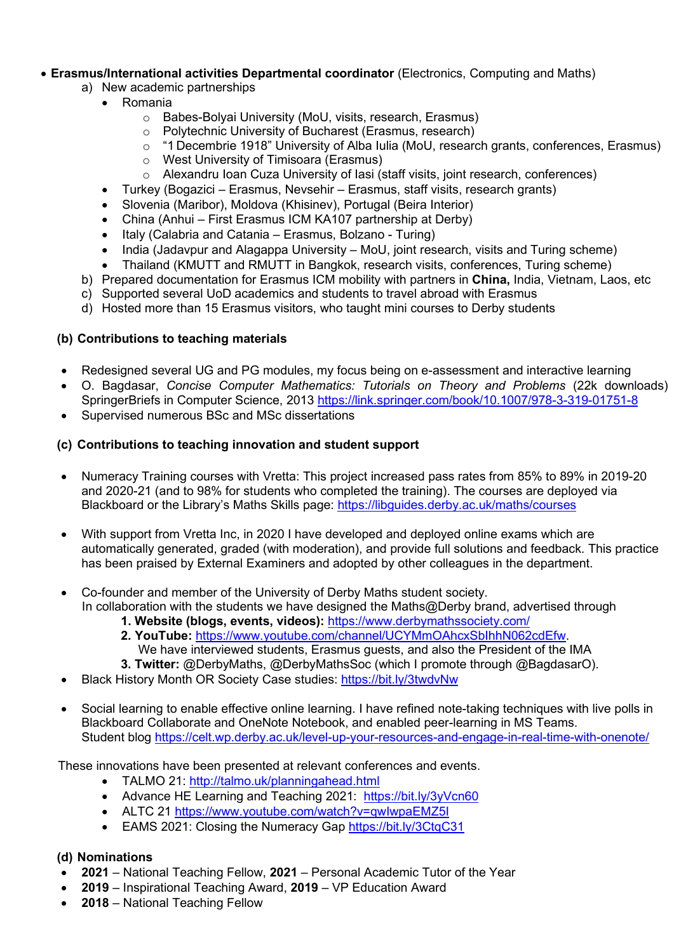#### • **Erasmus/International activities Departmental coordinator** (Electronics, Computing and Maths)

- a) New academic partnerships
	- Romania
		- o Babes-Bolyai University (MoU, visits, research, Erasmus)
		- o Polytechnic University of Bucharest (Erasmus, research)
		- o "1 Decembrie 1918" University of Alba Iulia (MoU, research grants, conferences, Erasmus)
		- o West University of Timisoara (Erasmus)
		- o Alexandru Ioan Cuza University of Iasi (staff visits, joint research, conferences)
	- Turkey (Bogazici Erasmus, Nevsehir Erasmus, staff visits, research grants)
	- Slovenia (Maribor), Moldova (Khisinev), Portugal (Beira Interior)
	- China (Anhui First Erasmus ICM KA107 partnership at Derby)
	- Italy (Calabria and Catania Erasmus, Bolzano Turing)
	- India (Jadavpur and Alagappa University MoU, joint research, visits and Turing scheme)
	- Thailand (KMUTT and RMUTT in Bangkok, research visits, conferences, Turing scheme)
- b) Prepared documentation for Erasmus ICM mobility with partners in **China,** India, Vietnam, Laos, etc
- c) Supported several UoD academics and students to travel abroad with Erasmus
- d) Hosted more than 15 Erasmus visitors, who taught mini courses to Derby students

#### **(b) Contributions to teaching materials**

- Redesigned several UG and PG modules, my focus being on e-assessment and interactive learning
- O. Bagdasar, *Concise Computer Mathematics: Tutorials on Theory and Problems* (22k downloads) SpringerBriefs in Computer Science, 2013<https://link.springer.com/book/10.1007/978-3-319-01751-8>
- Supervised numerous BSc and MSc dissertations

# **(c) Contributions to teaching innovation and student support**

- Numeracy Training courses with Vretta: This project increased pass rates from 85% to 89% in 2019-20 and 2020-21 (and to 98% for students who completed the training). The courses are deployed via Blackboard or the Library's Maths Skills page:<https://libguides.derby.ac.uk/maths/courses>
- With support from Vretta Inc, in 2020 I have developed and deployed online exams which are automatically generated, graded (with moderation), and provide full solutions and feedback. This practice has been praised by External Examiners and adopted by other colleagues in the department.
- Co-founder and member of the University of Derby Maths student society. In collaboration with the students we have designed the Maths@Derby brand, advertised through
	- **1. Website (blogs, events, videos):** <https://www.derbymathssociety.com/>
	- **2. YouTube:** [https://www.youtube.com/channel/UCYMmOAhcxSbIhhN062cdEfw.](https://www.youtube.com/channel/UCYMmOAhcxSbIhhN062cdEfw) We have interviewed students, Erasmus guests, and also the President of the IMA
	- **3. Twitter:** @DerbyMaths, @DerbyMathsSoc (which I promote through @BagdasarO).
- Black History Month OR Society Case studies:<https://bit.ly/3twdvNw>
- Social learning to enable effective online learning. I have refined note-taking techniques with live polls in Blackboard Collaborate and OneNote Notebook, and enabled peer-learning in MS Teams. Student blog<https://celt.wp.derby.ac.uk/level-up-your-resources-and-engage-in-real-time-with-onenote/>

These innovations have been presented at relevant conferences and events.

- TALMO 21:<http://talmo.uk/planningahead.html>
- Advance HE Learning and Teaching 2021: <https://bit.ly/3yVcn60>
- ALTC 21<https://www.youtube.com/watch?v=qwIwpaEMZ5I>
- EAMS 2021: Closing the Numeracy Gap<https://bit.ly/3CtqC31>

#### **(d) Nominations**

- **2021**  National Teaching Fellow, **2021** Personal Academic Tutor of the Year
- **2019** Inspirational Teaching Award, **2019** VP Education Award
- **2018**  National Teaching Fellow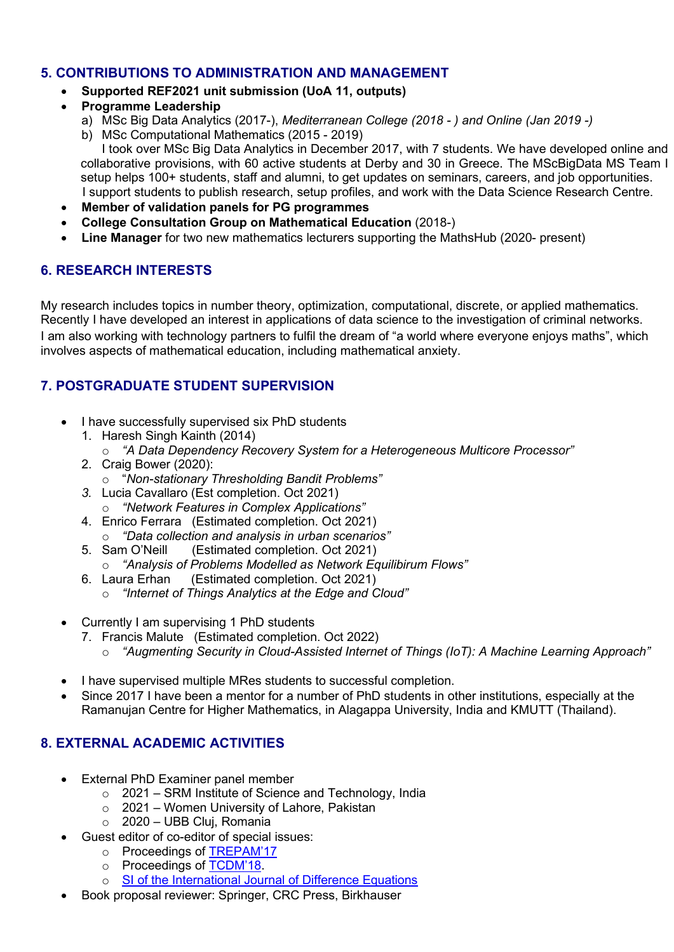## **5. CONTRIBUTIONS TO ADMINISTRATION AND MANAGEMENT**

- **Supported REF2021 unit submission (UoA 11, outputs)**
- **Programme Leadership** 
	- a) MSc Big Data Analytics (2017-), *Mediterranean College (2018 - ) and Online (Jan 2019 -)*
	- b) MSc Computational Mathematics (2015 2019)

I took over MSc Big Data Analytics in December 2017, with 7 students. We have developed online and collaborative provisions, with 60 active students at Derby and 30 in Greece. The MScBigData MS Team I setup helps 100+ students, staff and alumni, to get updates on seminars, careers, and job opportunities. I support students to publish research, setup profiles, and work with the Data Science Research Centre.

- **Member of validation panels for PG programmes**
- **College Consultation Group on Mathematical Education** (2018-)
- **Line Manager** for two new mathematics lecturers supporting the MathsHub (2020- present)

# **6. RESEARCH INTERESTS**

My research includes topics in number theory, optimization, computational, discrete, or applied mathematics. Recently I have developed an interest in applications of data science to the investigation of criminal networks. I am also working with technology partners to fulfil the dream of "a world where everyone enjoys maths", which involves aspects of mathematical education, including mathematical anxiety.

# **7. POSTGRADUATE STUDENT SUPERVISION**

- I have successfully supervised six PhD students
	- 1. Haresh Singh Kainth (2014)
		- o *"A Data Dependency Recovery System for a Heterogeneous Multicore Processor"*
	- 2. Craig Bower (2020):
		- o "*Non-stationary Thresholding Bandit Problems"*
	- *3.* Lucia Cavallaro (Est completion. Oct 2021)
		- o *"Network Features in Complex Applications"*
	- 4. Enrico Ferrara (Estimated completion. Oct 2021) o *"Data collection and analysis in urban scenarios"*
	- (Estimated completion. Oct 2021)
	- o *"Analysis of Problems Modelled as Network Equilibirum Flows"*
	- (Estimated completion. Oct 2021)
		- o *"Internet of Things Analytics at the Edge and Cloud"*
- Currently I am supervising 1 PhD students
	- 7. Francis Malute (Estimated completion. Oct 2022)
		- o *"Augmenting Security in Cloud-Assisted Internet of Things (IoT): A Machine Learning Approach"*
- I have supervised multiple MRes students to successful completion.
- Since 2017 I have been a mentor for a number of PhD students in other institutions, especially at the Ramanujan Centre for Higher Mathematics, in Alagappa University, India and KMUTT (Thailand).

# **8. EXTERNAL ACADEMIC ACTIVITIES**

- **External PhD Examiner panel member** 
	- o 2021 SRM Institute of Science and Technology, India
	- o 2021 Women University of Lahore, Pakistan
	- o 2020 UBB Cluj, Romania
- Guest editor of co-editor of special issues:
	- o Proceedings of [TREPAM'17](http://trepam.uab.ro/index.php?p=18)
	- o Proceedings of [TCDM'18.](https://ima.org.uk/7775/2nd-ima-conference-theoretical-computational-discrete-mathematics/)
	- o [SI of the International Journal of Difference Equations](https://www.hindawi.com/journals/ijde/si/194209/cfp/)
- Book proposal reviewer: Springer, CRC Press, Birkhauser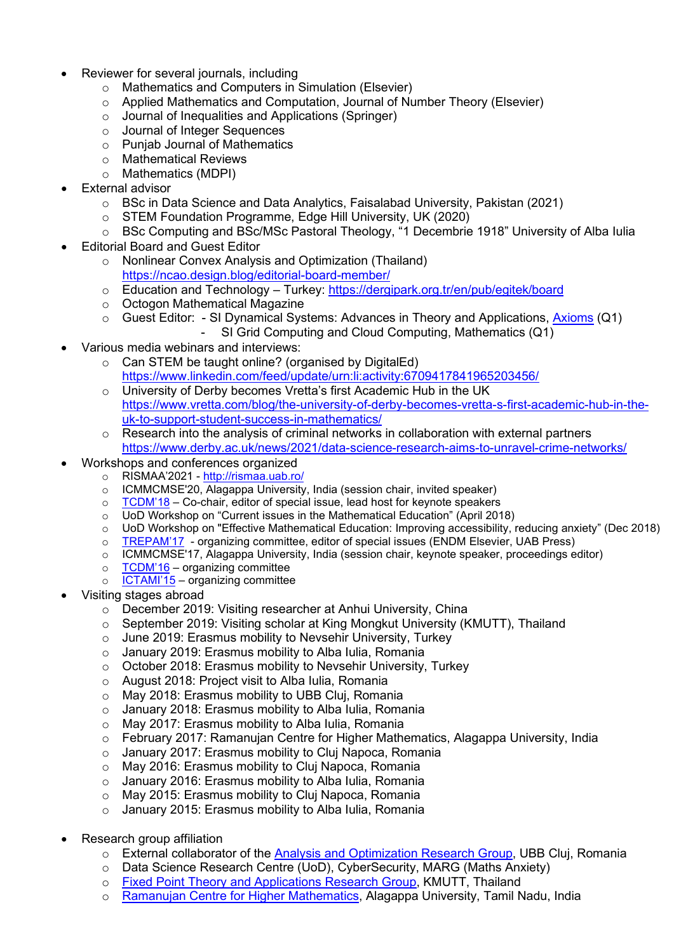- Reviewer for several journals, including
	- o Mathematics and Computers in Simulation (Elsevier)
	- $\circ$  Applied Mathematics and Computation, Journal of Number Theory (Elsevier)
	- o Journal of Inequalities and Applications (Springer)
	- o Journal of Integer Sequences
	- o Punjab Journal of Mathematics
	- o Mathematical Reviews
	- o Mathematics (MDPI)
- **External advisor** 
	- o BSc in Data Science and Data Analytics, Faisalabad University, Pakistan (2021)
	- o STEM Foundation Programme, Edge Hill University, UK (2020)
	- o BSc Computing and BSc/MSc Pastoral Theology, "1 Decembrie 1918" University of Alba Iulia
- Editorial Board and Guest Editor
	- o Nonlinear Convex Analysis and Optimization (Thailand) <https://ncao.design.blog/editorial-board-member/>
	- o Education and Technology Turkey: <https://dergipark.org.tr/en/pub/egitek/board>
	- o Octogon Mathematical Magazine
	- o Guest Editor: SI Dynamical Systems: Advances in Theory and Applications, [Axioms](https://www.mdpi.com/journal/axioms/special_issues/dynamical_systems_theory_application) (Q1)<br>SI Grid Computing and Cloud Computing, Mathematics (O1)
		- SI Grid Computing and Cloud Computing, Mathematics (Q1)
- Various media webinars and interviews:
	- o Can STEM be taught online? (organised by DigitalEd) <https://www.linkedin.com/feed/update/urn:li:activity:6709417841965203456/>
	- o University of Derby becomes Vretta's first Academic Hub in the UK [https://www.vretta.com/blog/the-university-of-derby-becomes-vretta-s-first-academic-hub-in-the](https://www.vretta.com/blog/the-university-of-derby-becomes-vretta-s-first-academic-hub-in-the-uk-to-support-student-success-in-mathematics/)[uk-to-support-student-success-in-mathematics/](https://www.vretta.com/blog/the-university-of-derby-becomes-vretta-s-first-academic-hub-in-the-uk-to-support-student-success-in-mathematics/)
	- $\circ$  Research into the analysis of criminal networks in collaboration with external partners <https://www.derby.ac.uk/news/2021/data-science-research-aims-to-unravel-crime-networks/>
- Workshops and conferences organized
	- o RISMAA'2021 <http://rismaa.uab.ro/><br>○ ICMMCMSE'20, Alagappa University
	- o ICMMCMSE'20, Alagappa University, India (session chair, invited speaker)<br>○ TCDM'18 Co-chair, editor of special issue, lead host for keynote speakers
	- $TCDM'18 Co-chair$  $TCDM'18 Co-chair$ , editor of special issue, lead host for keynote speakers
	- o UoD Workshop on "Current issues in the Mathematical Education" (April 2018)<br>○ UoD Workshop on "Effective Mathematical Education: Improving accessibility, r
	- UoD Workshop on "Effective Mathematical Education: Improving accessibility, reducing anxiety" (Dec 2018)
	- o [TREPAM'17](http://trepam.uab.ro/index.php?p=18)  organizing committee, editor of special issues (ENDM Elsevier, UAB Press)
	- o ICMMCMSE'17, Alagappa University, India (session chair, keynote speaker, proceedings editor)
	- $\circ$  [TCDM'16](https://ima.org.uk/1350/1st-ima-conference-theoretical-computational-discrete-mathematics/) organizing committee
	- $\circ$  [ICTAMI'15](http://www.uab.ro/ictami/) organizing committee
- Visiting stages abroad
	- o December 2019: Visiting researcher at Anhui University, China
	- o September 2019: Visiting scholar at King Mongkut University (KMUTT), Thailand
	- o June 2019: Erasmus mobility to Nevsehir University, Turkey
	- o January 2019: Erasmus mobility to Alba Iulia, Romania<br>  $\circ$  October 2018: Erasmus mobility to Nevsehir University.
	- October 2018: Erasmus mobility to Nevsehir University, Turkey
	- o August 2018: Project visit to Alba Iulia, Romania
	-
	- o May 2018: Erasmus mobility to UBB Cluj, Romania<br>○ January 2018: Erasmus mobility to Alba Iulia, Roma January 2018: Erasmus mobility to Alba Iulia, Romania
	- o May 2017: Erasmus mobility to Alba Iulia, Romania
	- o February 2017: Ramanujan Centre for Higher Mathematics, Alagappa University, India
	- o January 2017: Erasmus mobility to Cluj Napoca, Romania<br>o May 2016: Erasmus mobility to Clui Napoca, Romania
	- o May 2016: Erasmus mobility to Cluj Napoca, Romania<br>o January 2016: Erasmus mobility to Alba Iulia, Romania
	- January 2016: Erasmus mobility to Alba Iulia, Romania
	- o May 2015: Erasmus mobility to Cluj Napoca, Romania
	- o January 2015: Erasmus mobility to Alba Iulia, Romania
- Research group affiliation
	- $\circ$  External collaborator of the [Analysis and Optimization Research Group,](http://www.cs.ubbcluj.ro/%7Egrupanopt/PN-II-ID-PCE-2011-3-0024/index_eng.htm#collaborators) UBB Cluj, Romania
	- o Data Science Research Centre (UoD), CyberSecurity, MARG (Maths Anxiety)
	- o [Fixed Point Theory and Applications Research Group,](https://fixedpointkmutt.wordpress.com/distinguished-visiting-professor/) KMUTT, Thailand
	- o [Ramanujan Centre for Higher Mathematics,](https://alagappauniversity.ac.in/modules/Academics/faculty-of-science/School-of-Mathematical-Sciences/Ramanujan-Centre-for-Higher-Mathematics.php) Alagappa University, Tamil Nadu, India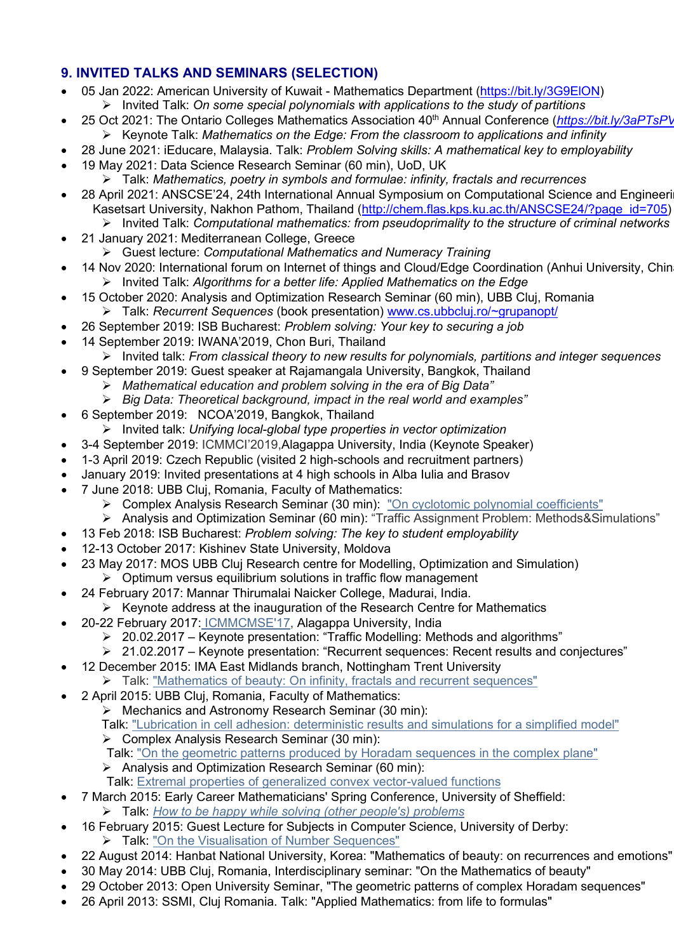# **9. INVITED TALKS AND SEMINARS (SELECTION)**

- 05 Jan 2022: American University of Kuwait Mathematics Department (https://bit.ly/3G9EION) Invited Talk: *On some special polynomials with applications to the study of partitions*
- 25 Oct 2021: The Ontario Colleges Mathematics Association 40th Annual Conference (*<https://bit.ly/3aPTsPV>* Keynote Talk: *Mathematics on the Edge: From the classroom to applications and infinity*
- 28 June 2021: iEducare, Malaysia. Talk: *Problem Solving skills: A mathematical key to employability* • 19 May 2021: Data Science Research Seminar (60 min), UoD, UK
	- Talk: *Mathematics, poetry in symbols and formulae: infinity, fractals and recurrences*
- 28 April 2021: ANSCSE'24, 24th International Annual Symposium on Computational Science and Engineeri Kasetsart University, Nakhon Pathom, Thailand [\(http://chem.flas.kps.ku.ac.th/ANSCSE24/?page\\_id=705\)](http://chem.flas.kps.ku.ac.th/ANSCSE24/?page_id=705) Invited Talk: *Computational mathematics: from pseudoprimality to the structure of criminal networks*
- 21 January 2021: Mediterranean College, Greece
	- Guest lecture: *Computational Mathematics and Numeracy Training*
- 14 Nov 2020: International forum on Internet of things and Cloud/Edge Coordination (Anhui University, Chin Invited Talk: *Algorithms for a better life: Applied Mathematics on the Edge*
- 15 October 2020: Analysis and Optimization Research Seminar (60 min), UBB Cluj, Romania Talk: *Recurrent Sequences* (book presentation) [www.cs.ubbcluj.ro/~grupanopt/](http://www.cs.ubbcluj.ro/%7Egrupanopt/)
- 26 September 2019: ISB Bucharest: *Problem solving: Your key to securing a job*
- 14 September 2019: IWANA'2019, Chon Buri, Thailand
- Invited talk: *From classical theory to new results for polynomials, partitions and integer sequences*
- 9 September 2019: Guest speaker at Rajamangala University, Bangkok, Thailand
	- *Mathematical education and problem solving in the era of Big Data"*
	- *Big Data: Theoretical background, impact in the real world and examples"*
- 6 September 2019: NCOA'2019, Bangkok, Thailand
- Invited talk: *Unifying local-global type properties in vector optimization*
- 3-4 September 2019: ICMMCI'2019,Alagappa University, India (Keynote Speaker)
- 1-3 April 2019: Czech Republic (visited 2 high-schools and recruitment partners)
- January 2019: Invited presentations at 4 high schools in Alba Iulia and Brasov
- 7 June 2018: UBB Cluj, Romania, Faculty of Mathematics:
	- Complex Analysis Research Seminar (30 min): "On cyclotomic polynomial [coefficients"](http://math.ubbcluj.ro/%7Egctf/)
	- Analysis and Optimization Seminar (60 min): "Traffic Assignment Problem: Methods&Simulations"
	- 13 Feb 2018: ISB Bucharest: *Problem solving: The key to student employability*
- 12-13 October 2017: Kishinev State University, Moldova
- 23 May 2017: MOS UBB Clui Research centre for Modelling, Optimization and Simulation)
	- $\triangleright$  Optimum versus equilibrium solutions in traffic flow management
- 24 February 2017: Mannar Thirumalai Naicker College, Madurai, India.
	- $\triangleright$  Keynote address at the inauguration of the Research Centre for Mathematics
- 20-22 February 2017: [ICMMCMSE'17,](http://www.icmmcmse2017.org/) Alagappa University, India
	- 20.02.2017 Keynote presentation: "Traffic Modelling: Methods and algorithms"
	- 21.02.2017 Keynote presentation: "Recurrent sequences: Recent results and conjectures"
- 12 December 2015: IMA East Midlands branch, Nottingham Trent University
	- Talk: ["Mathematics](http://www.ima.org.uk/_db/_documents/Bagdasar%2002.12.15.pdf) of beauty: On infinity, fractals and recurrent sequences"
- 2 April 2015: UBB Cluj, Romania, Faculty of Mathematics:
	- Mechanics and Astronomy Research Seminar (30 min):

Talk: "Lubrication in cell adhesion: [deterministic](http://math.ubbcluj.ro/%7Emecgrup/) results and simulations for a simplified model"

- Complex Analysis Research Seminar (30 min):
- Talk: "On the geometric patterns produced by Horadam [sequences](http://math.ubbcluj.ro/%7Egctf/) in the complex plane"
- Analysis and Optimization Research Seminar (60 min):
- Talk: Extremal properties of generalized convex [vector-valued](http://www.cs.ubbcluj.ro/%7Egrupanopt/) functions
- 7 March 2015: Early Career Mathematicians' Spring Conference, University of Sheffield: Talk: *How to be happy while solving (other people's) [problems](http://ima.org.uk/conferences/conferences_calendar/early_career_mathematicians_conference_spring_2015.html)*
	- 16 February 2015: Guest Lecture for Subjects in Computer Science, University of Derby:
		- > Talk: "On the [Visualisation](https://www.youtube.com/watch?v=KSuCWJS-9zI) of Number Sequences"
- 22 August 2014: Hanbat National University, Korea: "Mathematics of beauty: on recurrences and emotions"
- 30 May 2014: UBB Cluj, Romania, Interdisciplinary seminar: "On the Mathematics of beauty"
- 29 October 2013: Open University Seminar, "The geometric patterns of complex Horadam sequences"
- 26 April 2013: SSMI, Cluj Romania. Talk: "Applied Mathematics: from life to formulas"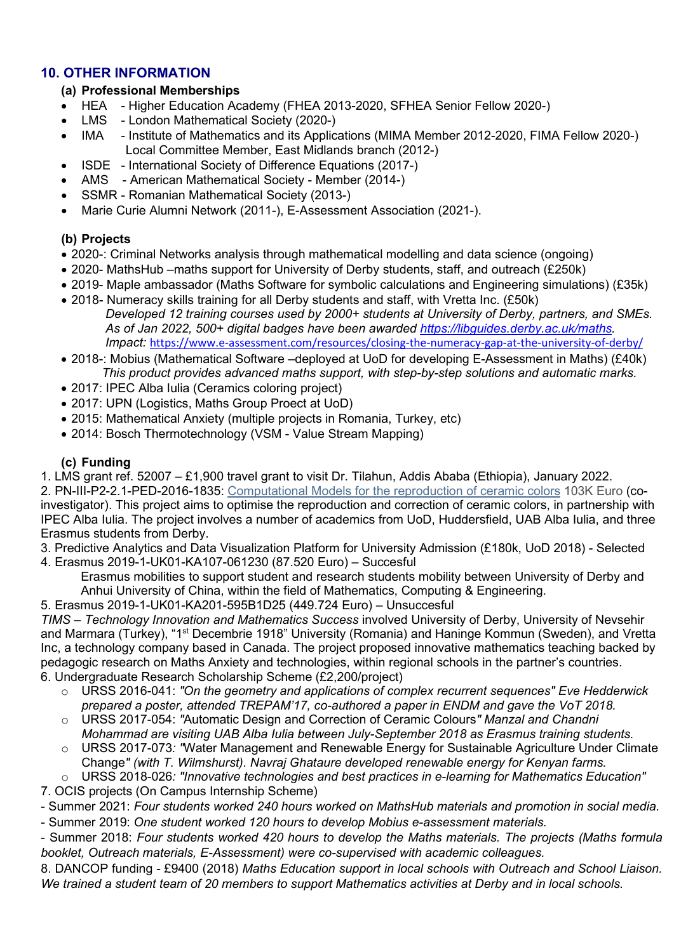### **10. OTHER INFORMATION**

#### **(a) Professional Memberships**

- HEA Higher Education Academy (FHEA 2013-2020, SFHEA Senior Fellow 2020-)
- London Mathematical Society (2020-)
- IMA Institute of Mathematics and its Applications (MIMA Member 2012-2020, FIMA Fellow 2020-) Local Committee Member, East Midlands branch (2012-)
- ISDE International Society of Difference Equations (2017-)
- AMS American Mathematical Society Member (2014-)
- SSMR Romanian Mathematical Society (2013-)
- Marie Curie Alumni Network (2011-), E-Assessment Association (2021-).

#### **(b) Projects**

- 2020-: Criminal Networks analysis through mathematical modelling and data science (ongoing)
- 2020- MathsHub –maths support for University of Derby students, staff, and outreach (£250k)
- 2019- Maple ambassador (Maths Software for symbolic calculations and Engineering simulations) (£35k)
- 2018- Numeracy skills training for all Derby students and staff, with Vretta Inc. (£50k) *Developed 12 training courses used by 2000+ students at University of Derby, partners, and SMEs. As of Jan 2022, 500+ digital badges have been awarded [https://libguides.derby.ac.uk/maths.](https://libguides.derby.ac.uk/maths) Impact:* <https://www.e-assessment.com/resources/closing-the-numeracy-gap-at-the-university-of-derby/>
- 2018-: Mobius (Mathematical Software –deployed at UoD for developing E-Assessment in Maths) (£40k) *This product provides advanced maths support, with step-by-step solutions and automatic marks.*
- 2017: IPEC Alba Iulia (Ceramics coloring project)
- 2017: UPN (Logistics, Maths Group Proect at UoD)
- 2015: Mathematical Anxiety (multiple projects in Romania, Turkey, etc)
- 2014: Bosch Thermotechnology (VSM Value Stream Mapping)

#### **(c) Funding**

1. LMS grant ref. 52007 – £1,900 travel grant to visit Dr. Tilahun, Addis Ababa (Ethiopia), January 2022.

2. PN-III-P2-2.1-PED-2016-1835: [Computational](http://cmrcc.uab.ro/) Models for the reproduction of ceramic colors 103K Euro (coinvestigator). This project aims to optimise the reproduction and correction of ceramic colors, in partnership with IPEC Alba Iulia. The project involves a number of academics from UoD, Huddersfield, UAB Alba Iulia, and three Erasmus students from Derby.

3. Predictive Analytics and Data Visualization Platform for University Admission (£180k, UoD 2018) - Selected

4. Erasmus 2019-1-UK01-KA107-061230 (87.520 Euro) – Succesful

Erasmus mobilities to support student and research students mobility between University of Derby and Anhui University of China, within the field of Mathematics, Computing & Engineering.

5. Erasmus 2019-1-UK01-KA201-595B1D25 (449.724 Euro) – Unsuccesful

*TIMS – Technology Innovation and Mathematics Success* involved University of Derby, University of Nevsehir and Marmara (Turkey), "1<sup>st</sup> Decembrie 1918" University (Romania) and Haninge Kommun (Sweden), and Vretta Inc, a technology company based in Canada. The project proposed innovative mathematics teaching backed by pedagogic research on Maths Anxiety and technologies, within regional schools in the partner's countries. 6. Undergraduate Research Scholarship Scheme (£2,200/project)

- o URSS 2016-041: *"On the geometry and applications of complex recurrent sequences" Eve Hedderwick prepared a poster, attended TREPAM'17, co-authored a paper in ENDM and gave the VoT 2018.*
- o URSS 2017-054: *"*Automatic Design and Correction of Ceramic Colours*" Manzal and Chandni Mohammad are visiting UAB Alba Iulia between July-September 2018 as Erasmus training students.*
- o URSS 2017-073*: "*Water Management and Renewable Energy for Sustainable Agriculture Under Climate Change*" (with T. Wilmshurst). Navraj Ghataure developed renewable energy for Kenyan farms.* URSS 2018-026: "Innovative technologies and best practices in e-learning for Mathematics Education"
- 7. OCIS projects (On Campus Internship Scheme)
- Summer 2021: *Four students worked 240 hours worked on MathsHub materials and promotion in social media.*
- Summer 2019: *One student worked 120 hours to develop Mobius e-assessment materials.*
- Summer 2018: *Four students worked 420 hours to develop the Maths materials. The projects (Maths formula booklet, Outreach materials, E-Assessment) were co-supervised with academic colleagues.*

8. DANCOP funding - £9400 (2018) *Maths Education support in local schools with Outreach and School Liaison. We trained a student team of 20 members to support Mathematics activities at Derby and in local schools.*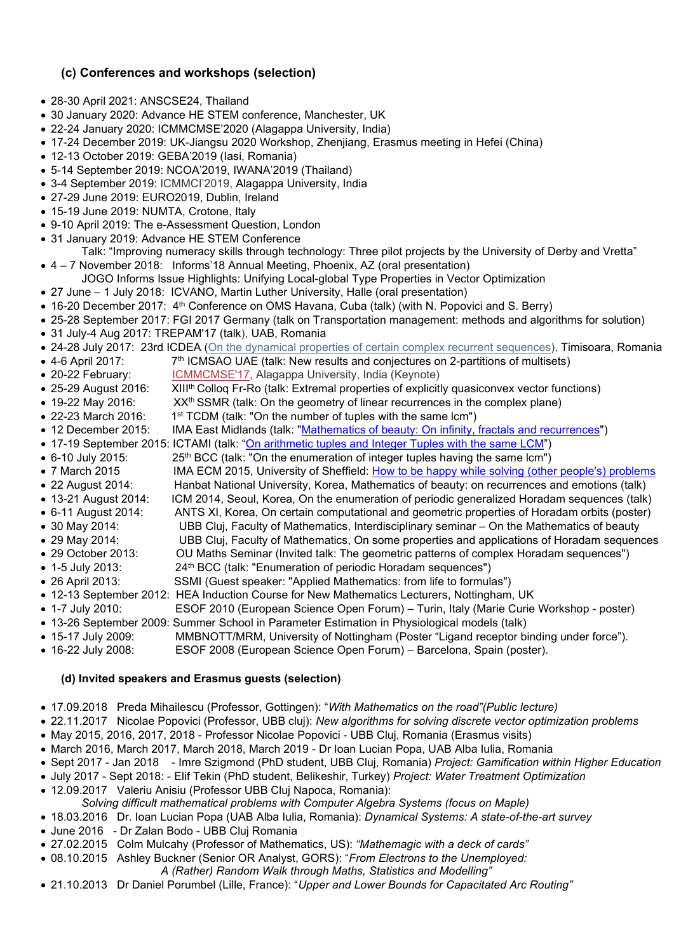#### **(c) Conferences and workshops (selection)**

- 28-30 April 2021: ANSCSE24, Thailand
- 30 January 2020: Advance HE STEM conference, Manchester, UK
- 22-24 January 2020: ICMMCMSE'2020 (Alagappa University, India)
- 17-24 December 2019: UK-Jiangsu 2020 Workshop, Zhenjiang, Erasmus meeting in Hefei (China)
- 12-13 October 2019: GEBA'2019 (Iasi, Romania)
- 5-14 September 2019: NCOA'2019, IWANA'2019 (Thailand)
- 3-4 September 2019: ICMMCI'2019, Alagappa University, India
- 27-29 June 2019: EURO2019, Dublin, Ireland
- 15-19 June 2019: NUMTA, Crotone, Italy
- 9-10 April 2019: The e-Assessment Question, London
- 31 January 2019: Advance HE STEM Conference
- Talk: "Improving numeracy skills through technology: Three pilot projects by the University of Derby and Vretta" • 4 – 7 November 2018: Informs'18 Annual Meeting, Phoenix, AZ (oral presentation)
- JOGO Informs Issue Highlights: Unifying Local-global Type Properties in Vector Optimization
- 27 June 1 July 2018: ICVANO, Martin Luther University, Halle (oral presentation)
- 16-20 December 2017: 4<sup>th</sup> Conference on OMS Havana, Cuba (talk) (with N. Popovici and S. Berry)
- 25-28 September 2017: FGI 2017 Germany (talk on Transportation management: methods and algorithms for solution)
- 31 July-4 Aug 2017: TREPAM'17 (talk), UAB, Romania
- 24-28 July 2017: 23rd ICDEA (On the dynamical properties of certain complex recurrent [sequences\)](https://icdea2017.uvt.ro/wp-content/uploads/2014/07/Abstracts-Book.pdf), Timisoara, Romania
- 4-6 April 2017:  $7<sup>th</sup>$  ICMSAO UAE (talk: New results and conjectures on 2-partitions of multisets)
- 20-22 February: [ICMMCMSE'17,](http://www.icmmcmse2017.org/) Alagappa University, India (Keynote)
- 25-29 August 2016: XIII<sup>th</sup> Colloq Fr-Ro (talk: Extremal properties of explicitly quasiconvex vector functions)
- 19-22 May 2016: XX<sup>th</sup> SSMR (talk: On the geometry of linear recurrences in the complex plane)
- 22-23 March 2016: 1<sup>st</sup> TCDM (talk: "On the number of tuples with the same lcm")
- 12 December 2015: IMA East Midlands (talk: ["Mathematics of beauty: On infinity, fractals and recurrences"](http://www.ima.org.uk/_db/_documents/Bagdasar%2002.12.15.pdf))
- 17-19 September 2015: ICTAMI (talk: ["On arithmetic tuples and Integer Tuples with the same LCM"](http://oeconomica.uab.ro/ictami/Parallel%20Sections%20Lectures.pdf))<br>• 6-10 July 2015: 25<sup>th</sup> BCC (talk: "On the enumeration of integer tuples having the same lcm")
- 25<sup>th</sup> BCC (talk: "On the enumeration of integer tuples having the same lcm")
- 7 March 2015 IMA ECM 2015, University of Sheffield: [How to be happy while solving \(other people's\) problems](http://ima.org.uk/conferences/conferences_calendar/early_career_mathematicians_conference_spring_2015.html)
- 22 August 2014: Hanbat National University, Korea, Mathematics of beauty: on recurrences and emotions (talk)
- 13-21 August 2014: ICM 2014, Seoul, Korea, On the enumeration of periodic generalized Horadam sequences (talk)
- 6-11 August 2014: ANTS XI, Korea, On certain computational and geometric properties of Horadam orbits (poster)
- 30 May 2014: UBB Cluj, Faculty of Mathematics, Interdisciplinary seminar On the Mathematics of beauty
- 29 May 2014: UBB Cluj, Faculty of Mathematics, On some properties and applications of Horadam sequences
- 29 October 2013: OU Maths Seminar (Invited talk: The geometric patterns of complex Horadam sequences")
- 1-5 July 2013: 24<sup>th</sup> BCC (talk: "Enumeration of periodic Horadam sequences")
- 26 April 2013: SSMI (Guest speaker: "Applied Mathematics: from life to formulas")
- 12-13 September 2012: HEA Induction Course for New Mathematics Lecturers, Nottingham, UK
- 1-7 July 2010: ESOF 2010 (European Science Open Forum) Turin, Italy (Marie Curie Workshop poster)
- 13-26 September 2009: Summer School in Parameter Estimation in Physiological models (talk)
- 15-17 July 2009: MMBNOTT/MRM, University of Nottingham (Poster "Ligand receptor binding under force").
- 16-22 July 2008: ESOF 2008 (European Science Open Forum) Barcelona, Spain (poster).

# **(d) Invited speakers and Erasmus guests (selection)**

- 17.09.2018 Preda Mihailescu (Professor, Gottingen): "*With Mathematics on the road"(Public lecture)*
- 22.11.2017 Nicolae Popovici (Professor, UBB cluj): *New algorithms for solving discrete vector optimization problems*
- May 2015, 2016, 2017, 2018 Professor Nicolae Popovici UBB Cluj, Romania (Erasmus visits)
- March 2016, March 2017, March 2018, March 2019 Dr Ioan Lucian Popa, UAB Alba Iulia, Romania
- Sept 2017 Jan 2018 Imre Szigmond (PhD student, UBB Cluj, Romania) *Project: Gamification within Higher Education*
- July 2017 Sept 2018: Elif Tekin (PhD student, Belikeshir, Turkey) *Project: Water Treatment Optimization*
- 12.09.2017 Valeriu Anisiu (Professor UBB Cluj Napoca, Romania):
- *Solving difficult mathematical problems with Computer Algebra Systems (focus on Maple)*
- 18.03.2016 Dr. Ioan Lucian Popa (UAB Alba Iulia, Romania): *Dynamical Systems: A state-of-the-art survey*
- June 2016 Dr Zalan Bodo UBB Cluj Romania
- 27.02.2015 Colm Mulcahy (Professor of Mathematics, US): *"Mathemagic with a deck of cards"*
- 08.10.2015 Ashley Buckner (Senior OR Analyst, GORS): "*From Electrons to the Unemployed:* 
	- *A (Rather) Random Walk through Maths, Statistics and Modelling"*
- 21.10.2013 Dr Daniel Porumbel (Lille, France): "*Upper and Lower Bounds for Capacitated Arc Routing"*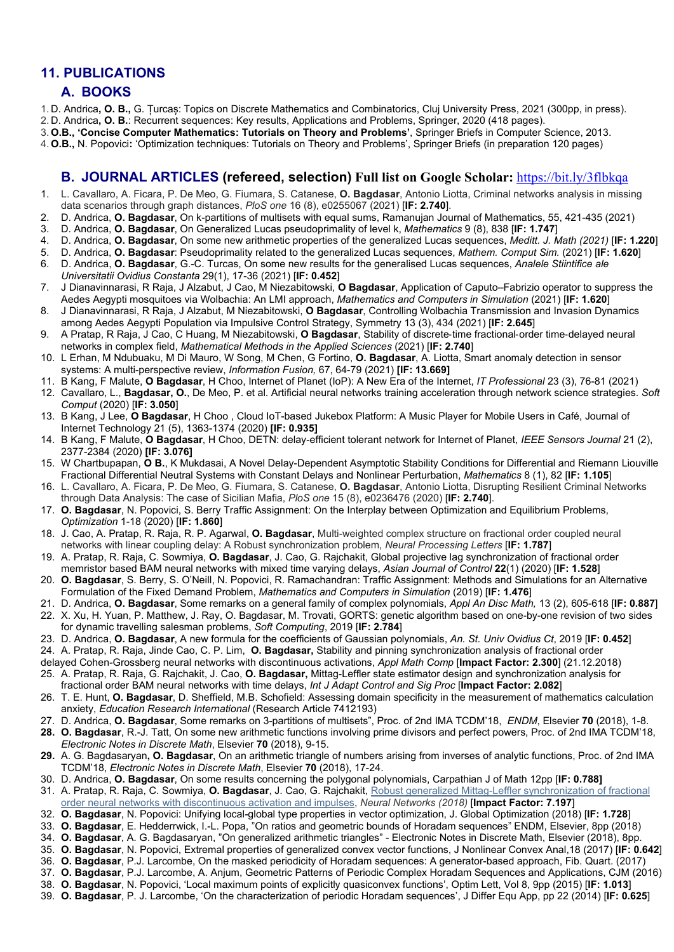#### **11. PUBLICATIONS**

#### **A. BOOKS**

- 1. D. Andrica**, O. B.,** G. Țurcaș: Topics on Discrete Mathematics and Combinatorics, Cluj University Press, 2021 (300pp, in press). 2. D. Andrica**, O. B.**: Recurrent sequences: Key results, Applications and Problems, Springer, 2020 (418 pages).
- 
- 3. **O.B., 'Concise Computer Mathematics: Tutorials on Theory and Problems'**, Springer Briefs in Computer Science, 2013. 4. **O.B.,** N. Popovici**:** 'Optimization techniques: Tutorials on Theory and Problems', Springer Briefs (in preparation 120 pages)
- 

#### **B. JOURNAL ARTICLES (refereed, selection) Full list on Google Scholar:** [https://bit.ly/3flbkqa](https://bit.ly/3fLBkqa)

- 1. L. Cavallaro, A. Ficara, P. De Meo, G. Fiumara, S. Catanese, **O. Bagdasar**, Antonio Liotta, Criminal networks analysis in missing data scenarios through graph distances, *PloS one* 16 (8), e0255067 (2021) [**IF: 2.740**].
- 2. D. Andrica, **O. Bagdasar**, On k-partitions of multisets with equal sums, Ramanujan Journal of Mathematics, 55, 421-435 (2021)
- 3. D. Andrica, **O. Bagdasar**, On Generalized Lucas pseudoprimality of level k, *Mathematics* 9 (8), 838 [**IF: 1.747**]
- 4. D. Andrica, **O. Bagdasar**, On some new arithmetic properties of the generalized Lucas sequences, *Meditt. J. Math (2021)* [**IF: 1.220**]
- 5. D. Andrica, **O. Bagdasar**: Pseudoprimality related to the generalized Lucas sequences, *Mathem. Comput Sim.* (2021) [**IF: 1.620**] 6. D. Andrica, **O. Bagdasar**, G.-C. Turcas, On some new results for the generalised Lucas sequences, *Analele Stiintifice ale Universitatii Ovidius Constanta* 29(1), 17-36 (2021) [**IF: 0.452**]
- 7. J Dianavinnarasi, R Raja, J Alzabut, J Cao, M Niezabitowski, **O Bagdasar**, Application of Caputo–Fabrizio operator to suppress the Aedes Aegypti mosquitoes via Wolbachia: An LMI approach, *Mathematics and Computers in Simulation* (2021) [**IF: 1.620**]
- 8. J Dianavinnarasi, R Raja, J Alzabut, M Niezabitowski, **O Bagdasar**, Controlling Wolbachia Transmission and Invasion Dynamics among Aedes Aegypti Population via Impulsive Control Strategy, Symmetry 13 (3), 434 (2021) [**IF: 2.645**]
- 9. A Pratap, R Raja, J Cao, C Huang, M Niezabitowski, **O Bagdasar**, Stability of discrete‐time fractional‐order time‐delayed neural networks in complex field, *Mathematical Methods in the Applied Sciences* (2021) [**IF: 2.740**]
- 10. L Erhan, M Ndubuaku, M Di Mauro, W Song, M Chen, G Fortino, **O. Bagdasar**, A. Liotta, Smart anomaly detection in sensor systems: A multi-perspective review, *Information Fusion,* 67, 64-79 (2021) **[IF: 13.669]**
- 11. B Kang, F Malute, **O Bagdasar**, H Choo, Internet of Planet (IoP): A New Era of the Internet, *IT Professional* 23 (3), 76-81 (2021)
- 12. Cavallaro, L., **Bagdasar, O.**, De Meo, P. et al. Artificial neural networks training acceleration through network science strategies. *Soft Comput* (2020) [**IF: 3.050**]
- 13. B Kang, J Lee, **O Bagdasar**, H Choo , Cloud IoT-based Jukebox Platform: A Music Player for Mobile Users in Café, Journal of Internet Technology 21 (5), 1363-1374 (2020) **[IF: 0.935]**
- 14. B Kang, F Malute, **O Bagdasar**, H Choo, DETN: delay-efficient tolerant network for Internet of Planet, *IEEE Sensors Journal* 21 (2), 2377-2384 (2020) **[IF: 3.076]**
- 15. W Chartbupapan, **O B.**, K Mukdasai, A Novel Delay-Dependent Asymptotic Stability Conditions for Differential and Riemann Liouville Fractional Differential Neutral Systems with Constant Delays and Nonlinear Perturbation, *Mathematics* 8 (1), 82 [**IF: 1.105**]
- 16. L. Cavallaro, A. Ficara, P. De Meo, G. Fiumara, S. Catanese, **O. Bagdasar**, Antonio Liotta, Disrupting Resilient Criminal Networks through Data Analysis: The case of Sicilian Mafia, *PloS one* 15 (8), e0236476 (2020) [**IF: 2.740**].
- 17. **O. Bagdasar**, N. Popovici, S. Berry Traffic Assignment: On the Interplay between Optimization and Equilibrium Problems, *Optimization* 1-18 (2020) [**IF: 1.860**]
- 18. J. Cao, A. Pratap, R. Raja, R. P. Agarwal, **O. Bagdasar**, Multi-weighted complex structure on fractional order coupled neural networks with linear coupling delay: A Robust synchronization problem, *Neural Processing Letters* [**IF: 1.787**]
- 19. A. Pratap, R. Raja, C. Sowmiya, **O. Bagdasar**, J. Cao, G. Rajchakit, Global projective lag synchronization of fractional order memristor based BAM neural networks with mixed time varying delays, *Asian Journal of Control* **22**(1) (2020) [**IF: 1.528**]
- 20. **O. Bagdasar**, S. Berry, S. O'Neill, N. Popovici, R. Ramachandran: Traffic Assignment: Methods and Simulations for an Alternative Formulation of the Fixed Demand Problem, *Mathematics and Computers in Simulation* (2019) [**IF: 1.476**]
- 21. D. Andrica, **O. Bagdasar**, Some remarks on a general family of complex polynomials, *Appl An Disc Math,* 13 (2), 605-618 [**IF: 0.887**]
- 22. X. Xu, H. Yuan, P. Matthew, J. Ray, O. Bagdasar, M. Trovati, GORTS: genetic algorithm based on one-by-one revision of two sides for dynamic travelling salesman problems, *Soft Computing*, 2019 [**IF: 2.784**]
- 23. D. Andrica, **O. Bagdasar**, A new formula for the coefficients of Gaussian polynomials, *An. St. Univ Ovidius Ct*, 2019 [**IF: 0.452**] 24. A. Pratap, R. Raja, Jinde Cao, C. P. Lim, **O. Bagdasar,** Stability and pinning synchronization analysis of fractional order
- delayed Cohen-Grossberg neural networks with discontinuous activations, *Appl Math Comp* [**Impact Factor: 2.300**] (21.12.2018)
- 25. A. Pratap, R. Raja, G. Rajchakit, J. Cao, **O. Bagdasar,** Mittag-Leffler state estimator design and synchronization analysis for fractional order BAM neural networks with time delays, *Int J Adapt Control and Sig Proc* [**Impact Factor: 2.082**]
- 26. T. E. Hunt, **O. Bagdasar**, D. Sheffield, M.B. Schofield: Assessing domain specificity in the measurement of mathematics calculation anxiety, *Education Research International* (Research Article 7412193)
- 27. D. Andrica, **O. Bagdasar**, Some remarks on 3-partitions of multisets", Proc. of 2nd IMA TCDM'18, *ENDM*, Elsevier **70** (2018), 1-8.
- **28. O. Bagdasar**, R.-J. Tatt, On some new arithmetic functions involving prime divisors and perfect powers, Proc. of 2nd IMA TCDM'18, *Electronic Notes in Discrete Math*, Elsevier **70** (2018), 9-15.
- **29.** A. G. Bagdasaryan**, O. Bagdasar**, On an arithmetic triangle of numbers arising from inverses of analytic functions, Proc. of 2nd IMA TCDM'18, *Electronic Notes in Discrete Math*, Elsevier **70** (2018), 17-24.
- 30. D. Andrica, **O. Bagdasar**, On some results concerning the polygonal polynomials, Carpathian J of Math 12pp [**IF: 0.788]**
- 31. A. Pratap, R. Raja, C. Sowmiya, **O. Bagdasar**, J. Cao, G. Rajchakit, Robust generalized Mittag-Leffler [synchronization](https://doi.org/10.1016/j.neunet.2018.03.012) of fractional order neural networks with [discontinuous](https://doi.org/10.1016/j.neunet.2018.03.012) activation and impulses, *Neural Networks (2018)* [**Impact Factor: 7.197**]
- 32. **O. Bagdasar**, N. Popovici: Unifying local-global type properties in vector optimization, J. Global Optimization (2018) [**IF: 1.728**]
- 33. **O. Bagdasar**, E. Hedderrwick, I.-L. Popa, "On ratios and geometric bounds of Horadam sequences" ENDM, Elsevier, 8pp (2018)
- 34. **O. Bagdasar**, A. G. Bagdasaryan, "On generalized arithmetic triangles" Electronic Notes in Discrete Math, Elsevier (2018), 8pp.
- 35. **O. Bagdasar**, N. Popovici, Extremal properties of generalized convex vector functions, J Nonlinear Convex Anal,18 (2017) [**IF: 0.642**]
- 36. **O. Bagdasar**, P.J. Larcombe, On the masked periodicity of Horadam sequences: A generator-based approach, Fib. Quart. (2017)
- 37. **O. Bagdasar**, P.J. Larcombe, A. Anjum, Geometric Patterns of Periodic Complex Horadam Sequences and Applications, CJM (2016)
- 38. **O. Bagdasar**, N. Popovici, 'Local maximum points of explicitly quasiconvex functions', Optim Lett, Vol 8, 9pp (2015) [**IF: 1.013**]
- 39. **O. Bagdasar**, P. J. Larcombe, 'On the characterization of periodic Horadam sequences', J Differ Equ App, pp 22 (2014) [**IF: 0.625**]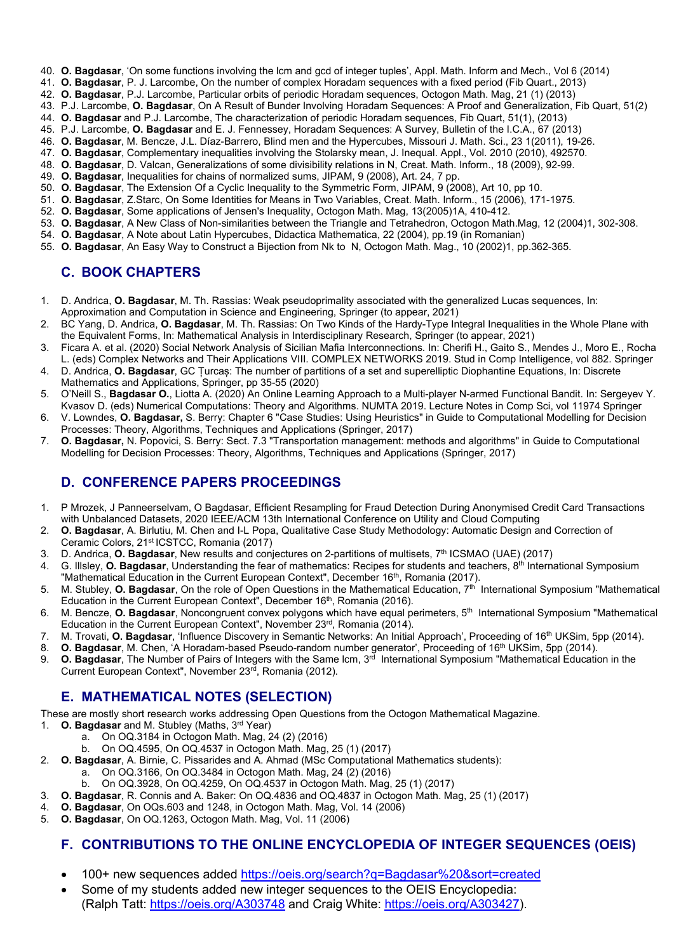- 40. **O. Bagdasar**, 'On some functions involving the lcm and gcd of integer tuples', Appl. Math. Inform and Mech., Vol 6 (2014)
- 41. **O. Bagdasar**, P. J. Larcombe, On the number of complex Horadam sequences with a fixed period (Fib Quart., 2013)
- 42. **O. Bagdasar**, P.J. Larcombe, Particular orbits of periodic Horadam sequences, Octogon Math. Mag, 21 (1) (2013)
- 43. P.J. Larcombe, **O. Bagdasar**, On A Result of Bunder Involving Horadam Sequences: A Proof and Generalization, Fib Quart, 51(2)
- 44. **O. Bagdasar** and P.J. Larcombe, The characterization of periodic Horadam sequences, Fib Quart, 51(1), (2013)
- 45. P.J. Larcombe, **O. Bagdasar** and E. J. Fennessey, Horadam Sequences: A Survey, Bulletin of the I.C.A., 67 (2013)
- 46. **O. Bagdasar**, M. Bencze, J.L. Díaz-Barrero, Blind men and the Hypercubes, [Missouri J. Math. Sci.,](http://projecteuclid.org/handle/euclid.mjms) 23 1(2011), 19-26.
- 47. **O. Bagdasar**, Complementary inequalities involving the Stolarsky mean, J. Inequal. Appl., Vol. 2010 (2010), 492570. 48. **O. Bagdasar**, D. Valcan, Generalizations of some divisibility relations in N, Creat. Math. Inform., 18 (2009), 92-99.
- 49. **O. Bagdasar**, Inequalities for chains of normalized sums, JIPAM, 9 (2008), Art. 24, 7 pp.
- 50. **O. Bagdasar**, The Extension Of a Cyclic Inequality to the Symmetric Form, JIPAM, 9 (2008), Art 10, pp 10.
- 51. **O. Bagdasar**, Z.Starc, On Some Identities for Means in Two Variables, Creat. Math. Inform., 15 (2006), 171-1975.
- 52. **O. Bagdasar**, Some applications of Jensen's Inequality, Octogon Math. Mag, 13(2005)1A, 410-412.
- 53. **O. Bagdasar**, A New Class of Non-similarities between the Triangle and Tetrahedron, Octogon Math.Mag, 12 (2004)1, 302-308.
- 54. **O. Bagdasar**, A Note about Latin Hypercubes, Didactica Mathematica, 22 (2004), pp.19 (in Romanian)
- 55. **O. Bagdasar**, An Easy Way to Construct a Bijection from Nk to N, Octogon Math. Mag., 10 (2002)1, pp.362-365.

# **C. BOOK CHAPTERS**

- 1. D. Andrica, **O. Bagdasar**, M. Th. Rassias: Weak pseudoprimality associated with the generalized Lucas sequences, In: Approximation and Computation in Science and Engineering, Springer (to appear, 2021)
- 2. BC Yang, D. Andrica, **O. Bagdasar**, M. Th. Rassias: On Two Kinds of the Hardy-Type Integral Inequalities in the Whole Plane with the Equivalent Forms, In: Mathematical Analysis in Interdisciplinary Research, Springer (to appear, 2021)
- 3. Ficara A. et al. (2020) Social Network Analysis of Sicilian Mafia Interconnections. In: Cherifi H., Gaito S., Mendes J., Moro E., Rocha L. (eds) Complex Networks and Their Applications VIII. COMPLEX NETWORKS 2019. Stud in Comp Intelligence, vol 882. Springer
- 4. D. Andrica, **O. Bagdasar**, GC Țurcaș: The number of partitions of a set and superelliptic Diophantine Equations, In: Discrete Mathematics and Applications, Springer, pp 35-55 (2020)
- 5. O'Neill S., **Bagdasar O.**, Liotta A. (2020) An Online Learning Approach to a Multi-player N-armed Functional Bandit. In: Sergeyev Y. Kvasov D. (eds) Numerical Computations: Theory and Algorithms. NUMTA 2019. Lecture Notes in Comp Sci, vol 11974 Springer
- 6. V. Lowndes, **O. Bagdasar,** S. Berry: Chapter 6 "Case Studies: Using Heuristics" in Guide to Computational Modelling for Decision Processes: Theory, Algorithms, Techniques and Applications (Springer, 2017)
- 7. **O. Bagdasar,** N. Popovici, S. Berry: Sect. 7.3 "Transportation management: methods and algorithms" in Guide to Computational Modelling for Decision Processes: Theory, Algorithms, Techniques and Applications (Springer, 2017)

# **D. CONFERENCE PAPERS PROCEEDINGS**

- 1. P Mrozek, J Panneerselvam, O Bagdasar, Efficient Resampling for Fraud Detection During Anonymised Credit Card Transactions with Unbalanced Datasets, 2020 IEEE/ACM 13th International Conference on Utility and Cloud Computing
- 2. **O. Bagdasar**, A. Birlutiu, M. Chen and I-L Popa, Qualitative Case Study Methodology: Automatic Design and Correction of Ceramic Colors, 21st ICSTCC, Romania (2017)
- 3. D. Andrica, **O. Bagdasar**, New results and conjectures on 2-partitions of multisets, 7th ICSMAO (UAE) (2017)
- 4. G. Illsley, O. Bagdasar, Understanding the fear of mathematics: Recipes for students and teachers, 8<sup>th</sup> International Symposium "Mathematical Education in the Current European Context", December 16<sup>th</sup>, Romania (2017).
- 5. M. Stubley, **O. Bagdasar**, On the role of Open Questions in the Mathematical Education, 7th International Symposium "Mathematical Education in the Current European Context", December 16<sup>th</sup>, Romania (2016).
- 6. M. Bencze, **O. Bagdasar**, Noncongruent convex polygons which have equal perimeters, 5th International Symposium "Mathematical Education in the Current European Context", November 23rd, Romania (2014).
- 7. M. Trovati, **O. Bagdasar**, 'Influence Discovery in Semantic Networks: An Initial Approach', Proceeding of 16<sup>th</sup> UKSim, 5pp (2014).<br>8. **O. Bagdasar**, M. Chen. 'A Horadam-based Pseudo-random number generator', Proceeding
- 
- 8. **O. Bagdasar**, M. Chen, 'A Horadam-based Pseudo-random number generator', Proceeding of 16<sup>th</sup> UKSim, 5pp (2014).<br>9. **O. Bagdasar**, The Number of Pairs of Integers with the Same Icm, 3<sup>rd</sup> International Symposium "Mathe 0. Bagdasar, The Number of Pairs of Integers with the Same Icm, 3<sup>rd</sup> International Symposium "Mathematical Education in the Current European Context", November 23rd, Romania (2012).

# **E. MATHEMATICAL NOTES (SELECTION)**

These are mostly short research works addressing Open Questions from the Octogon Mathematical Magazine.

- 1. **O. Bagdasar** and M. Stubley (Maths, 3rd Year)
	- a. On OQ.3184 in Octogon Math. Mag, 24 (2) (2016)
		- b. On OQ.4595, On OQ.4537 in Octogon Math. Mag, 25 (1) (2017)
- 2. **O. Bagdasar**, A. Birnie, C. Pissarides and A. Ahmad (MSc Computational Mathematics students):
	- a. On OQ.3166, On OQ.3484 in Octogon Math. Mag, 24 (2) (2016)
	- b. On OQ.3928, On OQ.4259, On OQ.4537 in Octogon Math. Mag, 25 (1) (2017)
- 3. **O. Bagdasar**, R. Connis and A. Baker: On OQ.4836 and OQ.4837 in Octogon Math. Mag, 25 (1) (2017)
- 4. **O. Bagdasar**, On OQs.603 and 1248, in Octogon Math. Mag, Vol. 14 (2006)
- 5. **O. Bagdasar**, On OQ.1263, Octogon Math. Mag, Vol. 11 (2006)

# **F. CONTRIBUTIONS TO THE ONLINE ENCYCLOPEDIA OF INTEGER SEQUENCES (OEIS)**

- 100+ new sequences added<https://oeis.org/search?q=Bagdasar%20&sort=created>
- Some of my students added new integer sequences to the OEIS Encyclopedia: (Ralph Tatt:<https://oeis.org/A303748> and Craig White: [https://oeis.org/A303427\)](https://oeis.org/A303427).